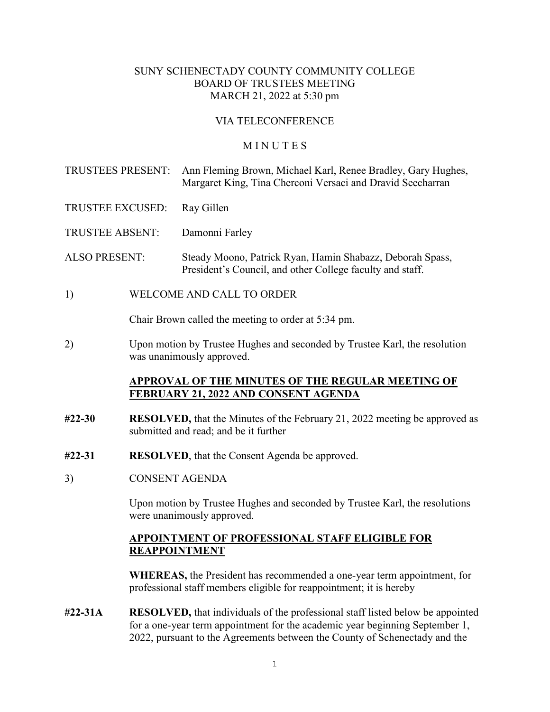### SUNY SCHENECTADY COUNTY COMMUNITY COLLEGE BOARD OF TRUSTEES MEETING MARCH 21, 2022 at 5:30 pm

## VIA TELECONFERENCE

#### **MINUTES**

TRUSTEES PRESENT: Ann Fleming Brown, Michael Karl, Renee Bradley, Gary Hughes, Margaret King, Tina Cherconi Versaci and Dravid Seecharran

TRUSTEE EXCUSED: Ray Gillen

TRUSTEE ABSENT: Damonni Farley

ALSO PRESENT: Steady Moono, Patrick Ryan, Hamin Shabazz, Deborah Spass, President's Council, and other College faculty and staff.

1) WELCOME AND CALL TO ORDER

Chair Brown called the meeting to order at 5:34 pm.

2) Upon motion by Trustee Hughes and seconded by Trustee Karl, the resolution was unanimously approved.

#### **APPROVAL OF THE MINUTES OF THE REGULAR MEETING OF FEBRUARY 21, 2022 AND CONSENT AGENDA**

- **#22-30 RESOLVED,** that the Minutes of the February 21, 2022 meeting be approved as submitted and read; and be it further
- **#22-31 RESOLVED**, that the Consent Agenda be approved.
- 3) CONSENT AGENDA

Upon motion by Trustee Hughes and seconded by Trustee Karl, the resolutions were unanimously approved.

### **APPOINTMENT OF PROFESSIONAL STAFF ELIGIBLE FOR REAPPOINTMENT**

**WHEREAS,** the President has recommended a one-year term appointment, for professional staff members eligible for reappointment; it is hereby

**#22-31A RESOLVED,** that individuals of the professional staff listed below be appointed for a one-year term appointment for the academic year beginning September 1, 2022, pursuant to the Agreements between the County of Schenectady and the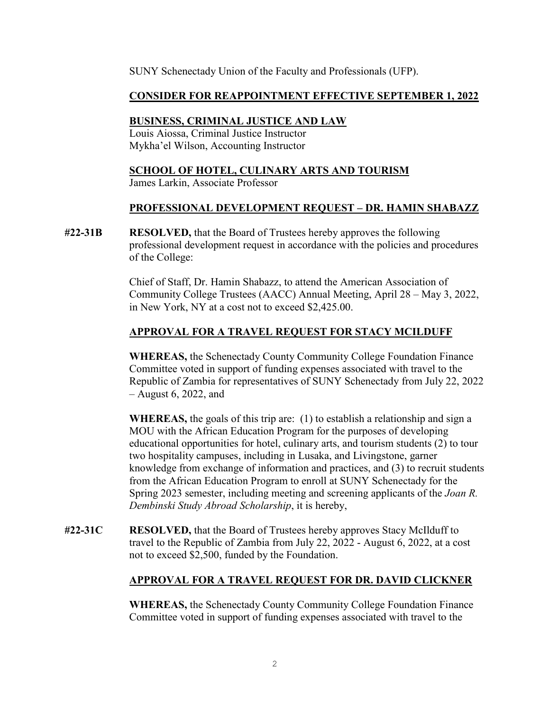SUNY Schenectady Union of the Faculty and Professionals (UFP).

# **CONSIDER FOR REAPPOINTMENT EFFECTIVE SEPTEMBER 1, 2022**

# **BUSINESS, CRIMINAL JUSTICE AND LAW**

 Louis Aiossa, Criminal Justice Instructor Mykha'el Wilson, Accounting Instructor

## **SCHOOL OF HOTEL, CULINARY ARTS AND TOURISM**

James Larkin, Associate Professor

### **PROFESSIONAL DEVELOPMENT REQUEST – DR. HAMIN SHABAZZ**

**#22-31B RESOLVED,** that the Board of Trustees hereby approves the following professional development request in accordance with the policies and procedures of the College:

> Chief of Staff, Dr. Hamin Shabazz, to attend the American Association of Community College Trustees (AACC) Annual Meeting, April 28 – May 3, 2022, in New York, NY at a cost not to exceed \$2,425.00.

# **APPROVAL FOR A TRAVEL REQUEST FOR STACY MCILDUFF**

**WHEREAS,** the Schenectady County Community College Foundation Finance Committee voted in support of funding expenses associated with travel to the Republic of Zambia for representatives of SUNY Schenectady from July 22, 2022 – August 6, 2022, and

**WHEREAS,** the goals of this trip are: (1) to establish a relationship and sign a MOU with the African Education Program for the purposes of developing educational opportunities for hotel, culinary arts, and tourism students (2) to tour two hospitality campuses, including in Lusaka, and Livingstone, garner knowledge from exchange of information and practices, and (3) to recruit students from the African Education Program to enroll at SUNY Schenectady for the Spring 2023 semester, including meeting and screening applicants of the *Joan R. Dembinski Study Abroad Scholarship*, it is hereby,

**#22-31C RESOLVED,** that the Board of Trustees hereby approves Stacy McIlduff to travel to the Republic of Zambia from July 22, 2022 - August 6, 2022, at a cost not to exceed \$2,500, funded by the Foundation.

# **APPROVAL FOR A TRAVEL REQUEST FOR DR. DAVID CLICKNER**

**WHEREAS,** the Schenectady County Community College Foundation Finance Committee voted in support of funding expenses associated with travel to the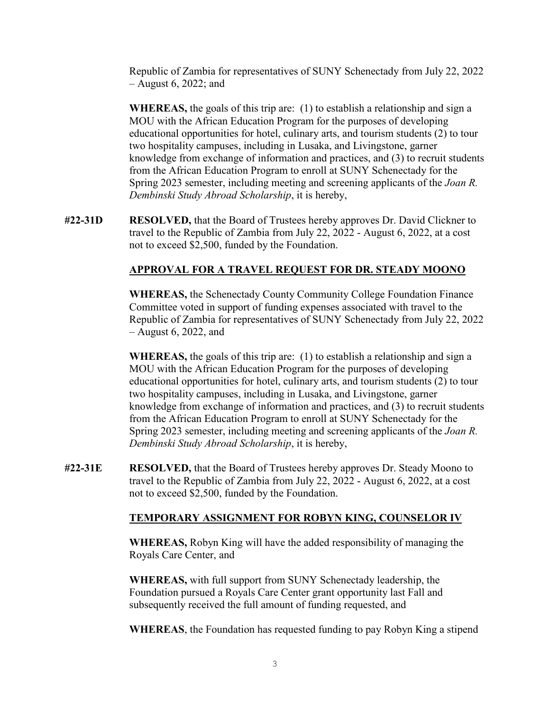Republic of Zambia for representatives of SUNY Schenectady from July 22, 2022 – August 6, 2022; and

**WHEREAS,** the goals of this trip are: (1) to establish a relationship and sign a MOU with the African Education Program for the purposes of developing educational opportunities for hotel, culinary arts, and tourism students (2) to tour two hospitality campuses, including in Lusaka, and Livingstone, garner knowledge from exchange of information and practices, and (3) to recruit students from the African Education Program to enroll at SUNY Schenectady for the Spring 2023 semester, including meeting and screening applicants of the *Joan R. Dembinski Study Abroad Scholarship*, it is hereby,

**#22-31D RESOLVED,** that the Board of Trustees hereby approves Dr. David Clickner to travel to the Republic of Zambia from July 22, 2022 - August 6, 2022, at a cost not to exceed \$2,500, funded by the Foundation.

# **APPROVAL FOR A TRAVEL REQUEST FOR DR. STEADY MOONO**

**WHEREAS,** the Schenectady County Community College Foundation Finance Committee voted in support of funding expenses associated with travel to the Republic of Zambia for representatives of SUNY Schenectady from July 22, 2022 – August 6, 2022, and

**WHEREAS,** the goals of this trip are: (1) to establish a relationship and sign a MOU with the African Education Program for the purposes of developing educational opportunities for hotel, culinary arts, and tourism students (2) to tour two hospitality campuses, including in Lusaka, and Livingstone, garner knowledge from exchange of information and practices, and (3) to recruit students from the African Education Program to enroll at SUNY Schenectady for the Spring 2023 semester, including meeting and screening applicants of the *Joan R. Dembinski Study Abroad Scholarship*, it is hereby,

**#22-31E RESOLVED,** that the Board of Trustees hereby approves Dr. Steady Moono to travel to the Republic of Zambia from July 22, 2022 - August 6, 2022, at a cost not to exceed \$2,500, funded by the Foundation.

#### **TEMPORARY ASSIGNMENT FOR ROBYN KING, COUNSELOR IV**

**WHEREAS,** Robyn King will have the added responsibility of managing the Royals Care Center, and

**WHEREAS,** with full support from SUNY Schenectady leadership, the Foundation pursued a Royals Care Center grant opportunity last Fall and subsequently received the full amount of funding requested, and

**WHEREAS**, the Foundation has requested funding to pay Robyn King a stipend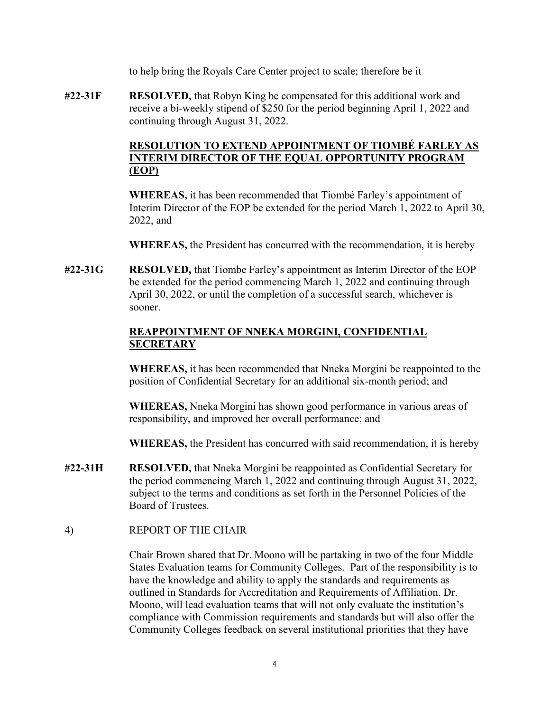to help bring the Royals Care Center project to scale; therefore be it

**#22-31F RESOLVED,** that Robyn King be compensated for this additional work and receive a bi-weekly stipend of \$250 for the period beginning April 1, 2022 and continuing through August 31, 2022.

# **RESOLUTION TO EXTEND APPOINTMENT OF TIOMBÉ FARLEY AS INTERIM DIRECTOR OF THE EQUAL OPPORTUNITY PROGRAM (EOP)**

**WHEREAS,** it has been recommended that Tiombé Farley's appointment of Interim Director of the EOP be extended for the period March 1, 2022 to April 30, 2022, and

**WHEREAS,** the President has concurred with the recommendation, it is hereby

**#22-31G RESOLVED,** that Tiombe Farley's appointment as Interim Director of the EOP be extended for the period commencing March 1, 2022 and continuing through April 30, 2022, or until the completion of a successful search, whichever is sooner.

# **REAPPOINTMENT OF NNEKA MORGINI, CONFIDENTIAL SECRETARY**

**WHEREAS,** it has been recommended that Nneka Morgini be reappointed to the position of Confidential Secretary for an additional six-month period; and

**WHEREAS,** Nneka Morgini has shown good performance in various areas of responsibility, and improved her overall performance; and

**WHEREAS,** the President has concurred with said recommendation, it is hereby

- **#22-31H RESOLVED,** that Nneka Morgini be reappointed as Confidential Secretary for the period commencing March 1, 2022 and continuing through August 31, 2022, subject to the terms and conditions as set forth in the Personnel Policies of the Board of Trustees.
- 4) REPORT OF THE CHAIR

Chair Brown shared that Dr. Moono will be partaking in two of the four Middle States Evaluation teams for Community Colleges. Part of the responsibility is to have the knowledge and ability to apply the standards and requirements as outlined in Standards for Accreditation and Requirements of Affiliation. Dr. Moono, will lead evaluation teams that will not only evaluate the institution's compliance with Commission requirements and standards but will also offer the Community Colleges feedback on several institutional priorities that they have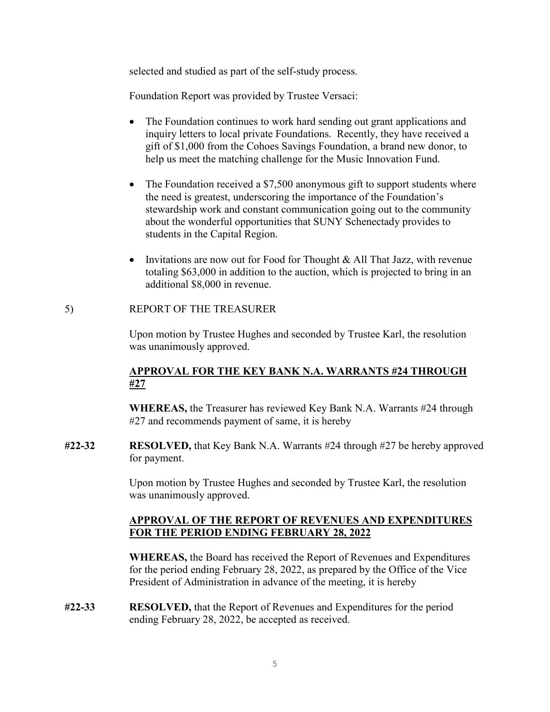selected and studied as part of the self-study process.

Foundation Report was provided by Trustee Versaci:

- The Foundation continues to work hard sending out grant applications and inquiry letters to local private Foundations. Recently, they have received a gift of \$1,000 from the Cohoes Savings Foundation, a brand new donor, to help us meet the matching challenge for the Music Innovation Fund.
- The Foundation received a \$7,500 anonymous gift to support students where the need is greatest, underscoring the importance of the Foundation's stewardship work and constant communication going out to the community about the wonderful opportunities that SUNY Schenectady provides to students in the Capital Region.
- Invitations are now out for Food for Thought & All That Jazz, with revenue totaling \$63,000 in addition to the auction, which is projected to bring in an additional \$8,000 in revenue.

#### 5) REPORT OF THE TREASURER

Upon motion by Trustee Hughes and seconded by Trustee Karl, the resolution was unanimously approved.

# **APPROVAL FOR THE KEY BANK N.A. WARRANTS #24 THROUGH #27**

**WHEREAS,** the Treasurer has reviewed Key Bank N.A. Warrants #24 through #27 and recommends payment of same, it is hereby

**#22-32 RESOLVED,** that Key Bank N.A. Warrants #24 through #27 be hereby approved for payment.

> Upon motion by Trustee Hughes and seconded by Trustee Karl, the resolution was unanimously approved.

### **APPROVAL OF THE REPORT OF REVENUES AND EXPENDITURES FOR THE PERIOD ENDING FEBRUARY 28, 2022**

**WHEREAS,** the Board has received the Report of Revenues and Expenditures for the period ending February 28, 2022, as prepared by the Office of the Vice President of Administration in advance of the meeting, it is hereby

**#22-33 RESOLVED,** that the Report of Revenues and Expenditures for the period ending February 28, 2022, be accepted as received.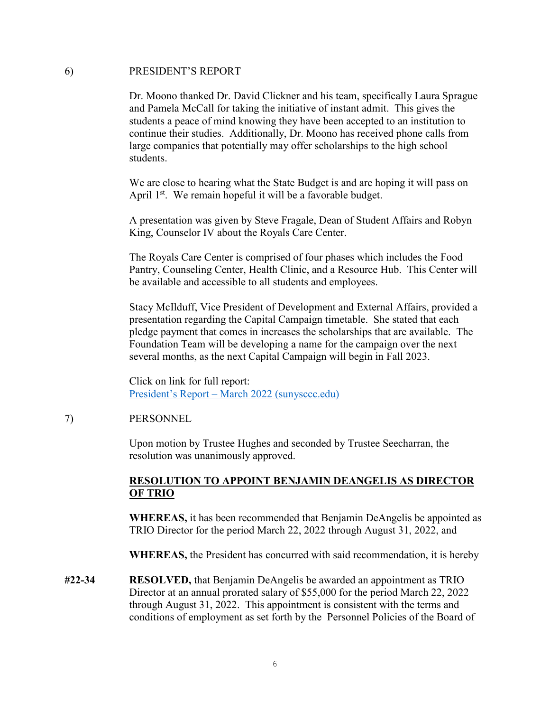#### 6) PRESIDENT'S REPORT

Dr. Moono thanked Dr. David Clickner and his team, specifically Laura Sprague and Pamela McCall for taking the initiative of instant admit. This gives the students a peace of mind knowing they have been accepted to an institution to continue their studies. Additionally, Dr. Moono has received phone calls from large companies that potentially may offer scholarships to the high school students.

We are close to hearing what the State Budget is and are hoping it will pass on April  $1<sup>st</sup>$ . We remain hopeful it will be a favorable budget.

A presentation was given by Steve Fragale, Dean of Student Affairs and Robyn King, Counselor IV about the Royals Care Center.

The Royals Care Center is comprised of four phases which includes the Food Pantry, Counseling Center, Health Clinic, and a Resource Hub. This Center will be available and accessible to all students and employees.

Stacy McIlduff, Vice President of Development and External Affairs, provided a presentation regarding the Capital Campaign timetable. She stated that each pledge payment that comes in increases the scholarships that are available. The Foundation Team will be developing a name for the campaign over the next several months, as the next Capital Campaign will begin in Fall 2023.

Click on link for full report: [President's Report – March 2022 \(sunysccc.edu\)](https://sunysccc.edu/PDF/About%20SCCC/CollegeLeadershipVision/PresidentsReport_3-2022.pdf) 

#### 7) PERSONNEL

Upon motion by Trustee Hughes and seconded by Trustee Seecharran, the resolution was unanimously approved.

#### **RESOLUTION TO APPOINT BENJAMIN DEANGELIS AS DIRECTOR OF TRIO**

**WHEREAS,** it has been recommended that Benjamin DeAngelis be appointed as TRIO Director for the period March 22, 2022 through August 31, 2022, and

**WHEREAS,** the President has concurred with said recommendation, it is hereby

**#22-34 RESOLVED,** that Benjamin DeAngelis be awarded an appointment as TRIO Director at an annual prorated salary of \$55,000 for the period March 22, 2022 through August 31, 2022. This appointment is consistent with the terms and conditions of employment as set forth by the Personnel Policies of the Board of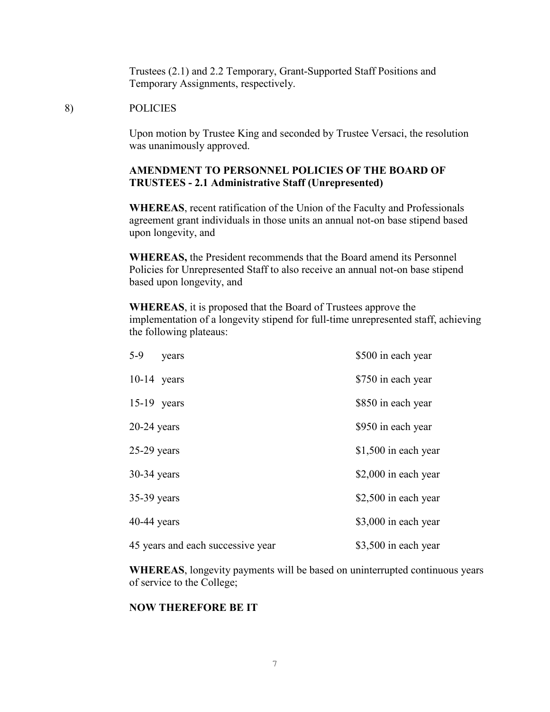Trustees (2.1) and 2.2 Temporary, Grant-Supported Staff Positions and Temporary Assignments, respectively.

#### 8) POLICIES

Upon motion by Trustee King and seconded by Trustee Versaci, the resolution was unanimously approved.

### **AMENDMENT TO PERSONNEL POLICIES OF THE BOARD OF TRUSTEES - 2.1 Administrative Staff (Unrepresented)**

**WHEREAS**, recent ratification of the Union of the Faculty and Professionals agreement grant individuals in those units an annual not-on base stipend based upon longevity, and

**WHEREAS,** the President recommends that the Board amend its Personnel Policies for Unrepresented Staff to also receive an annual not-on base stipend based upon longevity, and

**WHEREAS**, it is proposed that the Board of Trustees approve the implementation of a longevity stipend for full-time unrepresented staff, achieving the following plateaus:

| $5-9$<br>years                    | \$500 in each year    |
|-----------------------------------|-----------------------|
| $10-14$ years                     | \$750 in each year    |
| $15-19$ years                     | \$850 in each year    |
| $20-24$ years                     | \$950 in each year    |
| $25-29$ years                     | $$1,500$ in each year |
| $30-34$ years                     | \$2,000 in each year  |
| $35-39$ years                     | \$2,500 in each year  |
| $40-44$ years                     | \$3,000 in each year  |
| 45 years and each successive year | \$3,500 in each year  |

**WHEREAS**, longevity payments will be based on uninterrupted continuous years of service to the College;

#### **NOW THEREFORE BE IT**